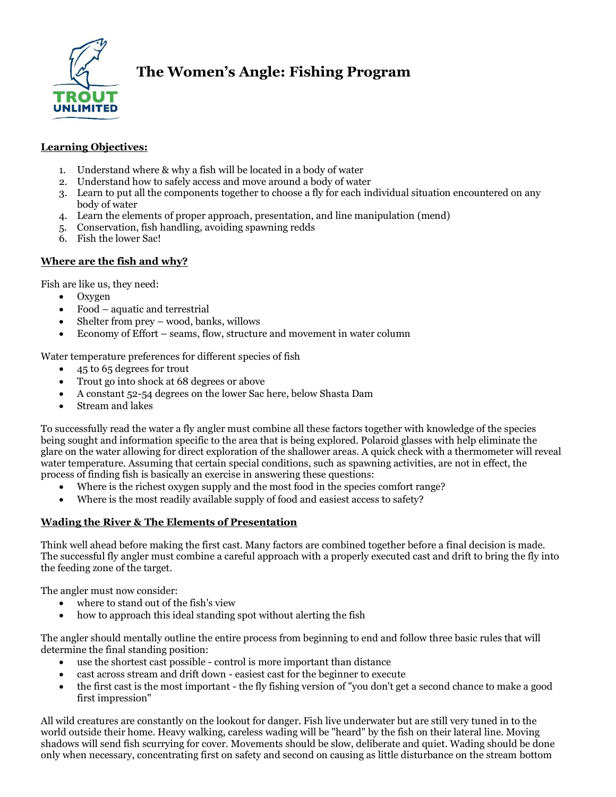

# **The Women's Angle: Fishing Program**

### **Learning Objectives:**

- 1. Understand where & why a fish will be located in a body of water
- 2. Understand how to safely access and move around a body of water
- 3. Learn to put all the components together to choose a fly for each individual situation encountered on any body of water
- 4. Learn the elements of proper approach, presentation, and line manipulation (mend)
- 5. Conservation, fish handling, avoiding spawning redds
- 6. Fish the lower Sac!

# **Where are the fish and why?**

Fish are like us, they need:

- Oxygen
- Food aquatic and terrestrial
- Shelter from prey wood, banks, willows
- Economy of Effort seams, flow, structure and movement in water column

Water temperature preferences for different species of fish

- 45 to 65 degrees for trout
- Trout go into shock at 68 degrees or above
- A constant 52-54 degrees on the lower Sac here, below Shasta Dam
- Stream and lakes

To successfully read the water a fly angler must combine all these factors together with knowledge of the species being sought and information specific to the area that is being explored. Polaroid glasses with help eliminate the glare on the water allowing for direct exploration of the shallower areas. A quick check with a thermometer will reveal water temperature. Assuming that certain special conditions, such as spawning activities, are not in effect, the process of finding fish is basically an exercise in answering these questions:

- Where is the richest oxygen supply and the most food in the species comfort range?
- Where is the most readily available supply of food and easiest access to safety?

# **Wading the River & The Elements of Presentation**

Think well ahead before making the first cast. Many factors are combined together before a final decision is made. The successful fly angler must combine a careful approach with a properly executed cast and drift to bring the fly into the feeding zone of the target.

The angler must now consider:

- where to stand out of the fish's view
- how to approach this ideal standing spot without alerting the fish

The angler should mentally outline the entire process from beginning to end and follow three basic rules that will determine the final standing position:

- use the shortest cast possible control is more important than distance
- cast across stream and drift down easiest cast for the beginner to execute
- the first cast is the most important the fly fishing version of "you don't get a second chance to make a good first impression"

All wild creatures are constantly on the lookout for danger. Fish live underwater but are still very tuned in to the world outside their home. Heavy walking, careless wading will be "heard" by the fish on their lateral line. Moving shadows will send fish scurrying for cover. Movements should be slow, deliberate and quiet. Wading should be done only when necessary, concentrating first on safety and second on causing as little disturbance on the stream bottom